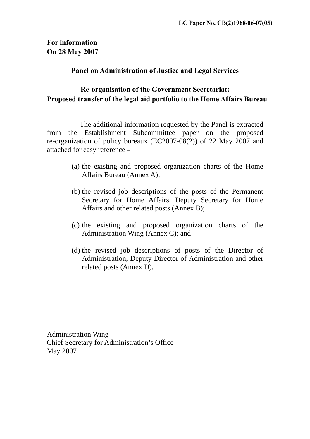# **For information On 28 May 2007**

# **Panel on Administration of Justice and Legal Services**

# **Re-organisation of the Government Secretariat: Proposed transfer of the legal aid portfolio to the Home Affairs Bureau**

The additional information requested by the Panel is extracted from the Establishment Subcommittee paper on the proposed re-organization of policy bureaux (EC2007-08(2)) of 22 May 2007 and attached for easy reference –

- (a) the existing and proposed organization charts of the Home Affairs Bureau (Annex A);
- (b) the revised job descriptions of the posts of the Permanent Secretary for Home Affairs, Deputy Secretary for Home Affairs and other related posts (Annex B);
- (c) the existing and proposed organization charts of the Administration Wing (Annex C); and
- (d) the revised job descriptions of posts of the Director of Administration, Deputy Director of Administration and other related posts (Annex D).

Administration Wing Chief Secretary for Administration's Office May 2007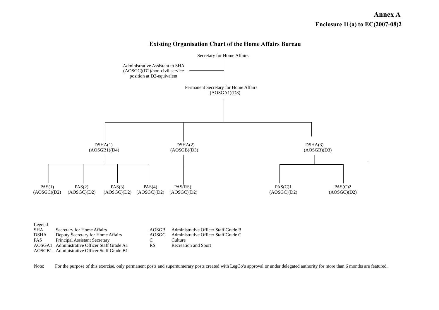# **Annex A Enclosure 11(a) to EC(2007-08)2**



#### **Existing Organisation Chart of the Home Affairs Bureau**

Note: For the purpose of this exercise, only permanent posts and supernumerary posts created with LegCo's approval or under delegated authority for more than 6 months are featured.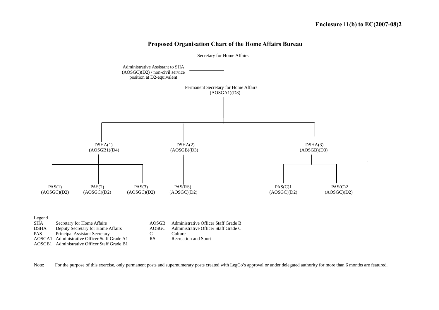

#### **Proposed Organisation Chart of the Home Affairs Bureau**

Note: For the purpose of this exercise, only permanent posts and supernumerary posts created with LegCo's approval or under delegated authority for more than 6 months are featured.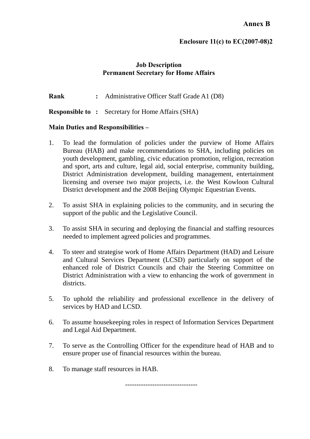# **Enclosure 11(c) to EC(2007-08)2**

### **Job Description Permanent Secretary for Home Affairs**

**Rank** : Administrative Officer Staff Grade A1 (D8)

**Responsible to :** Secretary for Home Affairs (SHA)

### **Main Duties and Responsibilities –**

- 1. To lead the formulation of policies under the purview of Home Affairs Bureau (HAB) and make recommendations to SHA, including policies on youth development, gambling, civic education promotion, religion, recreation and sport, arts and culture, legal aid, social enterprise, community building, District Administration development, building management, entertainment licensing and oversee two major projects, i.e. the West Kowloon Cultural District development and the 2008 Beijing Olympic Equestrian Events.
- 2. To assist SHA in explaining policies to the community, and in securing the support of the public and the Legislative Council.
- 3. To assist SHA in securing and deploying the financial and staffing resources needed to implement agreed policies and programmes.
- 4. To steer and strategise work of Home Affairs Department (HAD) and Leisure and Cultural Services Department (LCSD) particularly on support of the enhanced role of District Councils and chair the Steering Committee on District Administration with a view to enhancing the work of government in districts.
- 5. To uphold the reliability and professional excellence in the delivery of services by HAD and LCSD.
- 6. To assume housekeeping roles in respect of Information Services Department and Legal Aid Department.
- 7. To serve as the Controlling Officer for the expenditure head of HAB and to ensure proper use of financial resources within the bureau.
- 8. To manage staff resources in HAB.

--------------------------------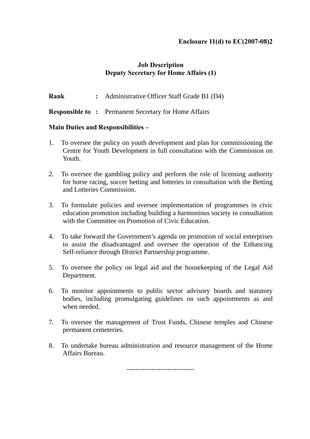# **Enclosure 11(d) to EC(2007-08)2**

# **Job Description Deputy Secretary for Home Affairs (1)**

**Rank :** Administrative Officer Staff Grade B1 (D4)

**Responsible to :** Permanent Secretary for Home Affairs

### **Main Duties and Responsibilities –**

- 1. To oversee the policy on youth development and plan for commissioning the Centre for Youth Development in full consultation with the Commission on Youth.
- 2. To oversee the gambling policy and perform the role of licensing authority for horse racing, soccer betting and lotteries in consultation with the Betting and Lotteries Commission.
- 3. To formulate policies and oversee implementation of programmes in civic education promotion including building a harmonious society in consultation with the Committee on Promotion of Civic Education.
- 4. To take forward the Government's agenda on promotion of social enterprises to assist the disadvantaged and oversee the operation of the Enhancing Self-reliance through District Partnership programme.
- 5. To oversee the policy on legal aid and the housekeeping of the Legal Aid Department.
- 6. To monitor appointments to public sector advisory boards and statutory bodies, including promulgating guidelines on such appointments as and when needed.
- 7. To oversee the management of Trust Funds, Chinese temples and Chinese permanent cemeteries.
- 8. To undertake bureau administration and resource management of the Home Affairs Bureau.

------------------------------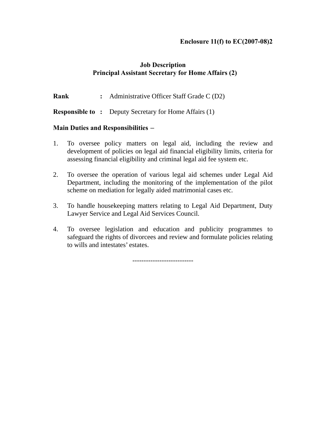### **Enclosure 11(f) to EC(2007-08)2**

# **Job Description Principal Assistant Secretary for Home Affairs (2)**

**Rank** : Administrative Officer Staff Grade C (D2)

**Responsible to :** Deputy Secretary for Home Affairs (1)

### **Main Duties and Responsibilities –**

- 1. To oversee policy matters on legal aid, including the review and development of policies on legal aid financial eligibility limits, criteria for assessing financial eligibility and criminal legal aid fee system etc.
- 2. To oversee the operation of various legal aid schemes under Legal Aid Department, including the monitoring of the implementation of the pilot scheme on mediation for legally aided matrimonial cases etc.
- 3. To handle housekeeping matters relating to Legal Aid Department, Duty Lawyer Service and Legal Aid Services Council.
- 4. To oversee legislation and education and publicity programmes to safeguard the rights of divorcees and review and formulate policies relating to wills and intestates' estates.

---------------------------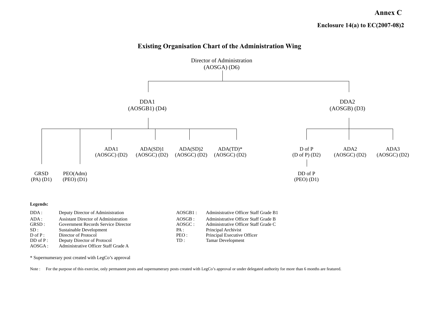**Annex C** 



**Existing Organisation Chart of the Administration Wing** 

\* Supernumerary post created with LegCo's approval

Note : For the purpose of this exercise, only permanent posts and supernumerary posts created with LegCo's approval or under delegated authority for more than 6 months are featured.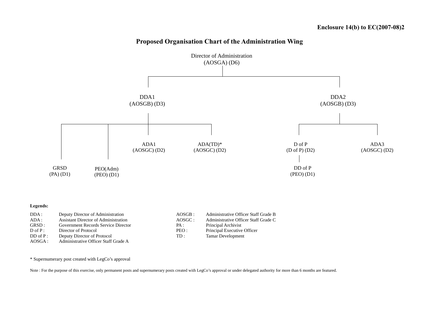



D of P: Director of Protocol PEO : Principal Executive Officer DD of P : Deputy Director of Protocol TD : Tamar Development AOSGA : Administrative Officer Staff Grade A AOSGA : Administrative Officer Staff Grade A

\* Supernumerary post created with LegCo's approval

Note : For the purpose of this exercise, only permanent posts and supernumerary posts created with LegCo's approval or under delegated authority for more than 6 months are featured.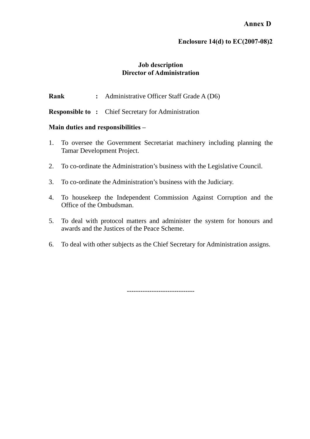# **Enclosure 14(d) to EC(2007-08)2**

# **Job description Director of Administration**

**Rank** : Administrative Officer Staff Grade A (D6)

**Responsible to :** Chief Secretary for Administration

## **Main duties and responsibilities –**

- 1. To oversee the Government Secretariat machinery including planning the Tamar Development Project.
- 2. To co-ordinate the Administration's business with the Legislative Council.
- 3. To co-ordinate the Administration's business with the Judiciary.
- 4. To housekeep the Independent Commission Against Corruption and the Office of the Ombudsman.
- 5. To deal with protocol matters and administer the system for honours and awards and the Justices of the Peace Scheme.
- 6. To deal with other subjects as the Chief Secretary for Administration assigns.

------------------------------